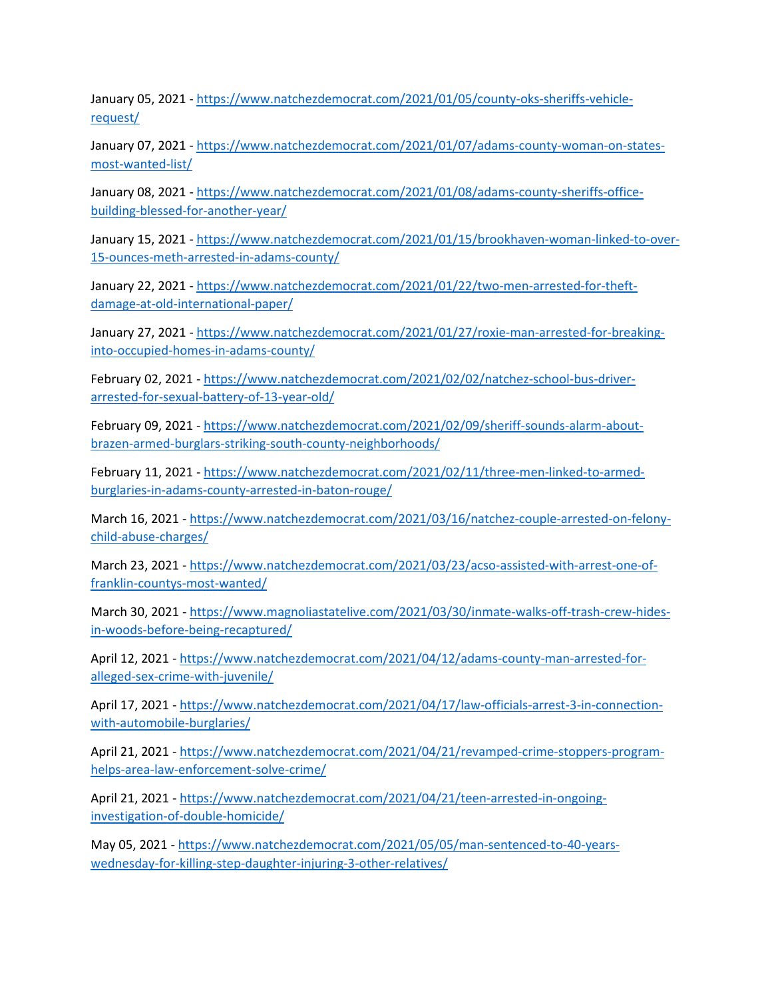January 05, 2021 - [https://www.natchezdemocrat.com/2021/01/05/county-oks-sheriffs-vehicle](https://www.natchezdemocrat.com/2021/01/05/county-oks-sheriffs-vehicle-request/)[request/](https://www.natchezdemocrat.com/2021/01/05/county-oks-sheriffs-vehicle-request/)

January 07, 2021 - [https://www.natchezdemocrat.com/2021/01/07/adams-county-woman-on-states](https://www.natchezdemocrat.com/2021/01/07/adams-county-woman-on-states-most-wanted-list/)[most-wanted-list/](https://www.natchezdemocrat.com/2021/01/07/adams-county-woman-on-states-most-wanted-list/)

January 08, 2021 - [https://www.natchezdemocrat.com/2021/01/08/adams-county-sheriffs-office](https://www.natchezdemocrat.com/2021/01/08/adams-county-sheriffs-office-building-blessed-for-another-year/)[building-blessed-for-another-year/](https://www.natchezdemocrat.com/2021/01/08/adams-county-sheriffs-office-building-blessed-for-another-year/)

January 15, 2021 - [https://www.natchezdemocrat.com/2021/01/15/brookhaven-woman-linked-to-over-](https://www.natchezdemocrat.com/2021/01/15/brookhaven-woman-linked-to-over-15-ounces-meth-arrested-in-adams-county/)[15-ounces-meth-arrested-in-adams-county/](https://www.natchezdemocrat.com/2021/01/15/brookhaven-woman-linked-to-over-15-ounces-meth-arrested-in-adams-county/)

January 22, 2021 - [https://www.natchezdemocrat.com/2021/01/22/two-men-arrested-for-theft](https://www.natchezdemocrat.com/2021/01/22/two-men-arrested-for-theft-damage-at-old-international-paper/)[damage-at-old-international-paper/](https://www.natchezdemocrat.com/2021/01/22/two-men-arrested-for-theft-damage-at-old-international-paper/)

January 27, 2021 - [https://www.natchezdemocrat.com/2021/01/27/roxie-man-arrested-for-breaking](https://www.natchezdemocrat.com/2021/01/27/roxie-man-arrested-for-breaking-into-occupied-homes-in-adams-county/)[into-occupied-homes-in-adams-county/](https://www.natchezdemocrat.com/2021/01/27/roxie-man-arrested-for-breaking-into-occupied-homes-in-adams-county/)

February 02, 2021 - [https://www.natchezdemocrat.com/2021/02/02/natchez-school-bus-driver](https://www.natchezdemocrat.com/2021/02/02/natchez-school-bus-driver-arrested-for-sexual-battery-of-13-year-old/)[arrested-for-sexual-battery-of-13-year-old/](https://www.natchezdemocrat.com/2021/02/02/natchez-school-bus-driver-arrested-for-sexual-battery-of-13-year-old/)

February 09, 2021 - [https://www.natchezdemocrat.com/2021/02/09/sheriff-sounds-alarm-about](https://www.natchezdemocrat.com/2021/02/09/sheriff-sounds-alarm-about-brazen-armed-burglars-striking-south-county-neighborhoods/)[brazen-armed-burglars-striking-south-county-neighborhoods/](https://www.natchezdemocrat.com/2021/02/09/sheriff-sounds-alarm-about-brazen-armed-burglars-striking-south-county-neighborhoods/)

February 11, 2021 - [https://www.natchezdemocrat.com/2021/02/11/three-men-linked-to-armed](https://www.natchezdemocrat.com/2021/02/11/three-men-linked-to-armed-burglaries-in-adams-county-arrested-in-baton-rouge/)[burglaries-in-adams-county-arrested-in-baton-rouge/](https://www.natchezdemocrat.com/2021/02/11/three-men-linked-to-armed-burglaries-in-adams-county-arrested-in-baton-rouge/)

March 16, 2021 - [https://www.natchezdemocrat.com/2021/03/16/natchez-couple-arrested-on-felony](https://www.natchezdemocrat.com/2021/03/16/natchez-couple-arrested-on-felony-child-abuse-charges/)[child-abuse-charges/](https://www.natchezdemocrat.com/2021/03/16/natchez-couple-arrested-on-felony-child-abuse-charges/)

March 23, 2021 - [https://www.natchezdemocrat.com/2021/03/23/acso-assisted-with-arrest-one-of](https://www.natchezdemocrat.com/2021/03/23/acso-assisted-with-arrest-one-of-franklin-countys-most-wanted/)[franklin-countys-most-wanted/](https://www.natchezdemocrat.com/2021/03/23/acso-assisted-with-arrest-one-of-franklin-countys-most-wanted/)

March 30, 2021 - [https://www.magnoliastatelive.com/2021/03/30/inmate-walks-off-trash-crew-hides](https://www.magnoliastatelive.com/2021/03/30/inmate-walks-off-trash-crew-hides-in-woods-before-being-recaptured/)[in-woods-before-being-recaptured/](https://www.magnoliastatelive.com/2021/03/30/inmate-walks-off-trash-crew-hides-in-woods-before-being-recaptured/)

April 12, 2021 - [https://www.natchezdemocrat.com/2021/04/12/adams-county-man-arrested-for](https://www.natchezdemocrat.com/2021/04/12/adams-county-man-arrested-for-alleged-sex-crime-with-juvenile/)[alleged-sex-crime-with-juvenile/](https://www.natchezdemocrat.com/2021/04/12/adams-county-man-arrested-for-alleged-sex-crime-with-juvenile/)

April 17, 2021 - [https://www.natchezdemocrat.com/2021/04/17/law-officials-arrest-3-in-connection](https://www.natchezdemocrat.com/2021/04/17/law-officials-arrest-3-in-connection-with-automobile-burglaries/)[with-automobile-burglaries/](https://www.natchezdemocrat.com/2021/04/17/law-officials-arrest-3-in-connection-with-automobile-burglaries/)

April 21, 2021 - [https://www.natchezdemocrat.com/2021/04/21/revamped-crime-stoppers-program](https://www.natchezdemocrat.com/2021/04/21/revamped-crime-stoppers-program-helps-area-law-enforcement-solve-crime/)[helps-area-law-enforcement-solve-crime/](https://www.natchezdemocrat.com/2021/04/21/revamped-crime-stoppers-program-helps-area-law-enforcement-solve-crime/)

April 21, 2021 - [https://www.natchezdemocrat.com/2021/04/21/teen-arrested-in-ongoing](https://www.natchezdemocrat.com/2021/04/21/teen-arrested-in-ongoing-investigation-of-double-homicide/)[investigation-of-double-homicide/](https://www.natchezdemocrat.com/2021/04/21/teen-arrested-in-ongoing-investigation-of-double-homicide/)

May 05, 2021 - [https://www.natchezdemocrat.com/2021/05/05/man-sentenced-to-40-years](https://www.natchezdemocrat.com/2021/05/05/man-sentenced-to-40-years-wednesday-for-killing-step-daughter-injuring-3-other-relatives/)[wednesday-for-killing-step-daughter-injuring-3-other-relatives/](https://www.natchezdemocrat.com/2021/05/05/man-sentenced-to-40-years-wednesday-for-killing-step-daughter-injuring-3-other-relatives/)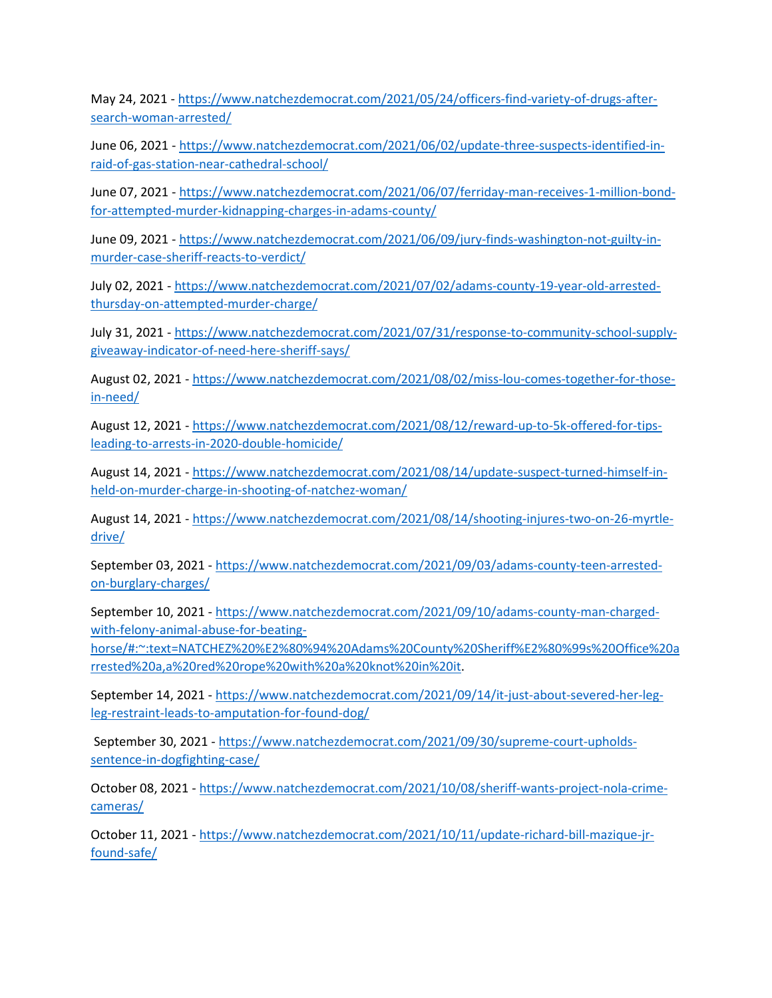May 24, 2021 - [https://www.natchezdemocrat.com/2021/05/24/officers-find-variety-of-drugs-after](https://www.natchezdemocrat.com/2021/05/24/officers-find-variety-of-drugs-after-search-woman-arrested/)[search-woman-arrested/](https://www.natchezdemocrat.com/2021/05/24/officers-find-variety-of-drugs-after-search-woman-arrested/)

June 06, 2021 - [https://www.natchezdemocrat.com/2021/06/02/update-three-suspects-identified-in](https://www.natchezdemocrat.com/2021/06/02/update-three-suspects-identified-in-raid-of-gas-station-near-cathedral-school/)[raid-of-gas-station-near-cathedral-school/](https://www.natchezdemocrat.com/2021/06/02/update-three-suspects-identified-in-raid-of-gas-station-near-cathedral-school/)

June 07, 2021 - [https://www.natchezdemocrat.com/2021/06/07/ferriday-man-receives-1-million-bond](https://www.natchezdemocrat.com/2021/06/07/ferriday-man-receives-1-million-bond-for-attempted-murder-kidnapping-charges-in-adams-county/)[for-attempted-murder-kidnapping-charges-in-adams-county/](https://www.natchezdemocrat.com/2021/06/07/ferriday-man-receives-1-million-bond-for-attempted-murder-kidnapping-charges-in-adams-county/)

June 09, 2021 - [https://www.natchezdemocrat.com/2021/06/09/jury-finds-washington-not-guilty-in](https://www.natchezdemocrat.com/2021/06/09/jury-finds-washington-not-guilty-in-murder-case-sheriff-reacts-to-verdict/)[murder-case-sheriff-reacts-to-verdict/](https://www.natchezdemocrat.com/2021/06/09/jury-finds-washington-not-guilty-in-murder-case-sheriff-reacts-to-verdict/)

July 02, 2021 - [https://www.natchezdemocrat.com/2021/07/02/adams-county-19-year-old-arrested](https://www.natchezdemocrat.com/2021/07/02/adams-county-19-year-old-arrested-thursday-on-attempted-murder-charge/)[thursday-on-attempted-murder-charge/](https://www.natchezdemocrat.com/2021/07/02/adams-county-19-year-old-arrested-thursday-on-attempted-murder-charge/)

July 31, 2021 - [https://www.natchezdemocrat.com/2021/07/31/response-to-community-school-supply](https://www.natchezdemocrat.com/2021/07/31/response-to-community-school-supply-giveaway-indicator-of-need-here-sheriff-says/)[giveaway-indicator-of-need-here-sheriff-says/](https://www.natchezdemocrat.com/2021/07/31/response-to-community-school-supply-giveaway-indicator-of-need-here-sheriff-says/)

August 02, 2021 - [https://www.natchezdemocrat.com/2021/08/02/miss-lou-comes-together-for-those](https://www.natchezdemocrat.com/2021/08/02/miss-lou-comes-together-for-those-in-need/)[in-need/](https://www.natchezdemocrat.com/2021/08/02/miss-lou-comes-together-for-those-in-need/)

August 12, 2021 - [https://www.natchezdemocrat.com/2021/08/12/reward-up-to-5k-offered-for-tips](https://www.natchezdemocrat.com/2021/08/12/reward-up-to-5k-offered-for-tips-leading-to-arrests-in-2020-double-homicide/)[leading-to-arrests-in-2020-double-homicide/](https://www.natchezdemocrat.com/2021/08/12/reward-up-to-5k-offered-for-tips-leading-to-arrests-in-2020-double-homicide/)

August 14, 2021 - [https://www.natchezdemocrat.com/2021/08/14/update-suspect-turned-himself-in](https://www.natchezdemocrat.com/2021/08/14/update-suspect-turned-himself-in-held-on-murder-charge-in-shooting-of-natchez-woman/)[held-on-murder-charge-in-shooting-of-natchez-woman/](https://www.natchezdemocrat.com/2021/08/14/update-suspect-turned-himself-in-held-on-murder-charge-in-shooting-of-natchez-woman/)

August 14, 2021 - [https://www.natchezdemocrat.com/2021/08/14/shooting-injures-two-on-26-myrtle](https://www.natchezdemocrat.com/2021/08/14/shooting-injures-two-on-26-myrtle-drive/)[drive/](https://www.natchezdemocrat.com/2021/08/14/shooting-injures-two-on-26-myrtle-drive/)

September 03, 2021 - [https://www.natchezdemocrat.com/2021/09/03/adams-county-teen-arrested](https://www.natchezdemocrat.com/2021/09/03/adams-county-teen-arrested-on-burglary-charges/)[on-burglary-charges/](https://www.natchezdemocrat.com/2021/09/03/adams-county-teen-arrested-on-burglary-charges/)

September 10, 2021 - [https://www.natchezdemocrat.com/2021/09/10/adams-county-man-charged](https://www.natchezdemocrat.com/2021/09/10/adams-county-man-charged-with-felony-animal-abuse-for-beating-horse/#:%7E:text=NATCHEZ%20%E2%80%94%20Adams%20County%20Sheriff%E2%80%99s%20Office%20arrested%20a,a%20red%20rope%20with%20a%20knot%20in%20it)[with-felony-animal-abuse-for-beating-](https://www.natchezdemocrat.com/2021/09/10/adams-county-man-charged-with-felony-animal-abuse-for-beating-horse/#:%7E:text=NATCHEZ%20%E2%80%94%20Adams%20County%20Sheriff%E2%80%99s%20Office%20arrested%20a,a%20red%20rope%20with%20a%20knot%20in%20it)

[horse/#:~:text=NATCHEZ%20%E2%80%94%20Adams%20County%20Sheriff%E2%80%99s%20Office%20a](https://www.natchezdemocrat.com/2021/09/10/adams-county-man-charged-with-felony-animal-abuse-for-beating-horse/#:%7E:text=NATCHEZ%20%E2%80%94%20Adams%20County%20Sheriff%E2%80%99s%20Office%20arrested%20a,a%20red%20rope%20with%20a%20knot%20in%20it) [rrested%20a,a%20red%20rope%20with%20a%20knot%20in%20it.](https://www.natchezdemocrat.com/2021/09/10/adams-county-man-charged-with-felony-animal-abuse-for-beating-horse/#:%7E:text=NATCHEZ%20%E2%80%94%20Adams%20County%20Sheriff%E2%80%99s%20Office%20arrested%20a,a%20red%20rope%20with%20a%20knot%20in%20it)

September 14, 2021 - [https://www.natchezdemocrat.com/2021/09/14/it-just-about-severed-her-leg](https://www.natchezdemocrat.com/2021/09/14/it-just-about-severed-her-leg-leg-restraint-leads-to-amputation-for-found-dog/)[leg-restraint-leads-to-amputation-for-found-dog/](https://www.natchezdemocrat.com/2021/09/14/it-just-about-severed-her-leg-leg-restraint-leads-to-amputation-for-found-dog/)

September 30, 2021 - [https://www.natchezdemocrat.com/2021/09/30/supreme-court-upholds](https://www.natchezdemocrat.com/2021/09/30/supreme-court-upholds-sentence-in-dogfighting-case/)[sentence-in-dogfighting-case/](https://www.natchezdemocrat.com/2021/09/30/supreme-court-upholds-sentence-in-dogfighting-case/)

October 08, 2021 - [https://www.natchezdemocrat.com/2021/10/08/sheriff-wants-project-nola-crime](https://www.natchezdemocrat.com/2021/10/08/sheriff-wants-project-nola-crime-cameras/)[cameras/](https://www.natchezdemocrat.com/2021/10/08/sheriff-wants-project-nola-crime-cameras/)

October 11, 2021 - [https://www.natchezdemocrat.com/2021/10/11/update-richard-bill-mazique-jr](https://www.natchezdemocrat.com/2021/10/11/update-richard-bill-mazique-jr-found-safe/)[found-safe/](https://www.natchezdemocrat.com/2021/10/11/update-richard-bill-mazique-jr-found-safe/)